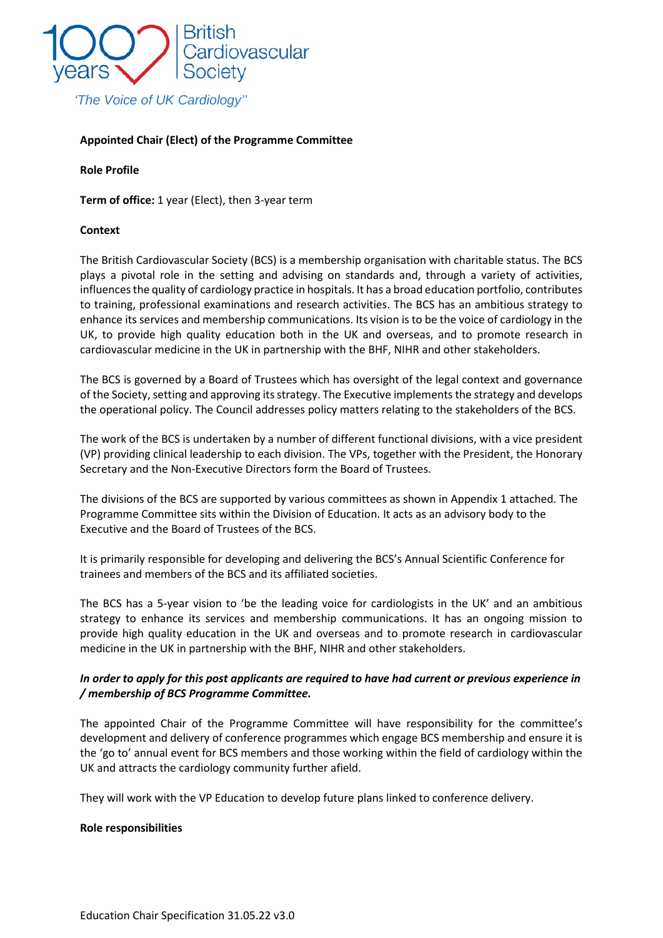

## **Appointed Chair (Elect) of the Programme Committee**

#### **Role Profile**

**Term of office:** 1 year (Elect), then 3-year term

#### **Context**

The British Cardiovascular Society (BCS) is a membership organisation with charitable status. The BCS plays a pivotal role in the setting and advising on standards and, through a variety of activities, influences the quality of cardiology practice in hospitals. It has a broad education portfolio, contributes to training, professional examinations and research activities. The BCS has an ambitious strategy to enhance its services and membership communications. Its vision is to be the voice of cardiology in the UK, to provide high quality education both in the UK and overseas, and to promote research in cardiovascular medicine in the UK in partnership with the BHF, NIHR and other stakeholders.

The BCS is governed by a Board of Trustees which has oversight of the legal context and governance of the Society, setting and approving itsstrategy. The Executive implements the strategy and develops the operational policy. The Council addresses policy matters relating to the stakeholders of the BCS.

The work of the BCS is undertaken by a number of different functional divisions, with a vice president (VP) providing clinical leadership to each division. The VPs, together with the President, the Honorary Secretary and the Non-Executive Directors form the Board of Trustees.

The divisions of the BCS are supported by various committees as shown in Appendix 1 attached. The Programme Committee sits within the Division of Education. It acts as an advisory body to the Executive and the Board of Trustees of the BCS.

It is primarily responsible for developing and delivering the BCS's Annual Scientific Conference for trainees and members of the BCS and its affiliated societies.

The BCS has a 5-year vision to 'be the leading voice for cardiologists in the UK' and an ambitious strategy to enhance its services and membership communications. It has an ongoing mission to provide high quality education in the UK and overseas and to promote research in cardiovascular medicine in the UK in partnership with the BHF, NIHR and other stakeholders.

# *In order to apply for this post applicants are required to have had current or previous experience in / membership of BCS Programme Committee.*

The appointed Chair of the Programme Committee will have responsibility for the committee's development and delivery of conference programmes which engage BCS membership and ensure it is the 'go to' annual event for BCS members and those working within the field of cardiology within the UK and attracts the cardiology community further afield.

They will work with the VP Education to develop future plans linked to conference delivery.

#### **Role responsibilities**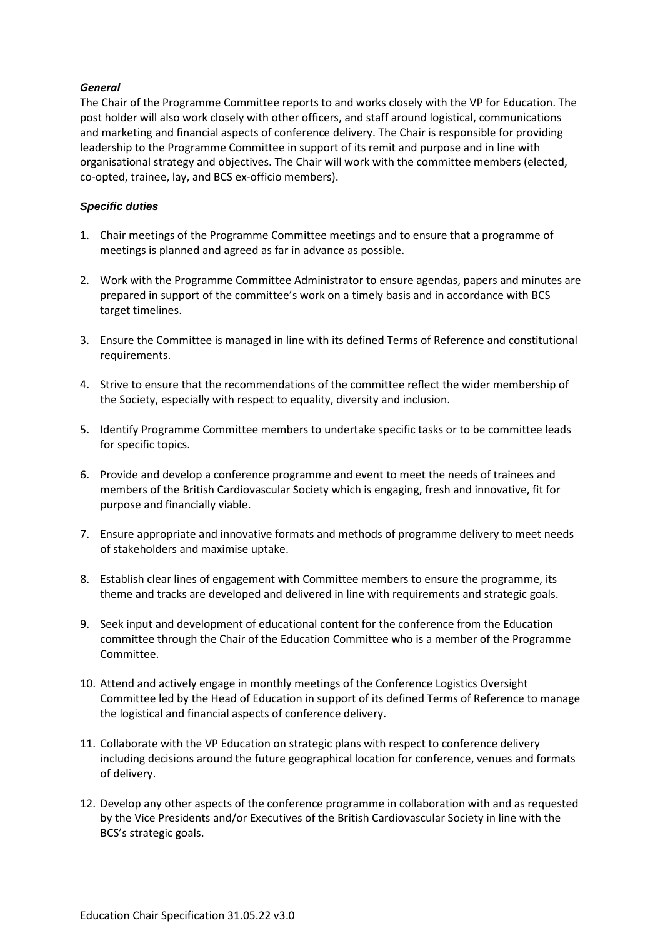## *General*

The Chair of the Programme Committee reports to and works closely with the VP for Education. The post holder will also work closely with other officers, and staff around logistical, communications and marketing and financial aspects of conference delivery. The Chair is responsible for providing leadership to the Programme Committee in support of its remit and purpose and in line with organisational strategy and objectives. The Chair will work with the committee members (elected, co-opted, trainee, lay, and BCS ex-officio members).

## *Specific duties*

- 1. Chair meetings of the Programme Committee meetings and to ensure that a programme of meetings is planned and agreed as far in advance as possible.
- 2. Work with the Programme Committee Administrator to ensure agendas, papers and minutes are prepared in support of the committee's work on a timely basis and in accordance with BCS target timelines.
- 3. Ensure the Committee is managed in line with its defined Terms of Reference and constitutional requirements.
- 4. Strive to ensure that the recommendations of the committee reflect the wider membership of the Society, especially with respect to equality, diversity and inclusion.
- 5. Identify Programme Committee members to undertake specific tasks or to be committee leads for specific topics.
- 6. Provide and develop a conference programme and event to meet the needs of trainees and members of the British Cardiovascular Society which is engaging, fresh and innovative, fit for purpose and financially viable.
- 7. Ensure appropriate and innovative formats and methods of programme delivery to meet needs of stakeholders and maximise uptake.
- 8. Establish clear lines of engagement with Committee members to ensure the programme, its theme and tracks are developed and delivered in line with requirements and strategic goals.
- 9. Seek input and development of educational content for the conference from the Education committee through the Chair of the Education Committee who is a member of the Programme Committee.
- 10. Attend and actively engage in monthly meetings of the Conference Logistics Oversight Committee led by the Head of Education in support of its defined Terms of Reference to manage the logistical and financial aspects of conference delivery.
- 11. Collaborate with the VP Education on strategic plans with respect to conference delivery including decisions around the future geographical location for conference, venues and formats of delivery.
- 12. Develop any other aspects of the conference programme in collaboration with and as requested by the Vice Presidents and/or Executives of the British Cardiovascular Society in line with the BCS's strategic goals.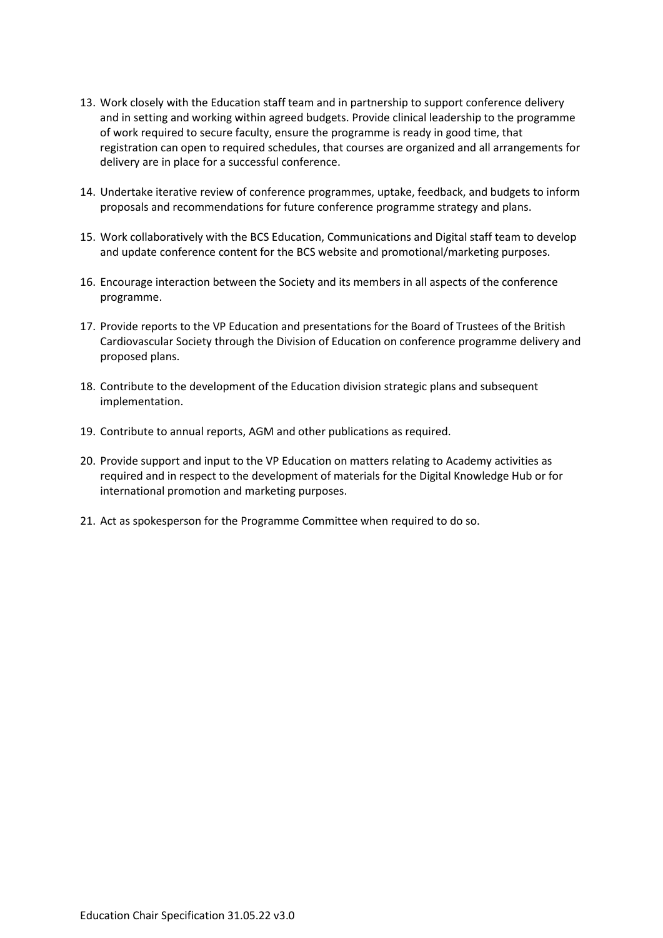- 13. Work closely with the Education staff team and in partnership to support conference delivery and in setting and working within agreed budgets. Provide clinical leadership to the programme of work required to secure faculty, ensure the programme is ready in good time, that registration can open to required schedules, that courses are organized and all arrangements for delivery are in place for a successful conference.
- 14. Undertake iterative review of conference programmes, uptake, feedback, and budgets to inform proposals and recommendations for future conference programme strategy and plans.
- 15. Work collaboratively with the BCS Education, Communications and Digital staff team to develop and update conference content for the BCS website and promotional/marketing purposes.
- 16. Encourage interaction between the Society and its members in all aspects of the conference programme.
- 17. Provide reports to the VP Education and presentations for the Board of Trustees of the British Cardiovascular Society through the Division of Education on conference programme delivery and proposed plans.
- 18. Contribute to the development of the Education division strategic plans and subsequent implementation.
- 19. Contribute to annual reports, AGM and other publications as required.
- 20. Provide support and input to the VP Education on matters relating to Academy activities as required and in respect to the development of materials for the Digital Knowledge Hub or for international promotion and marketing purposes.
- 21. Act as spokesperson for the Programme Committee when required to do so.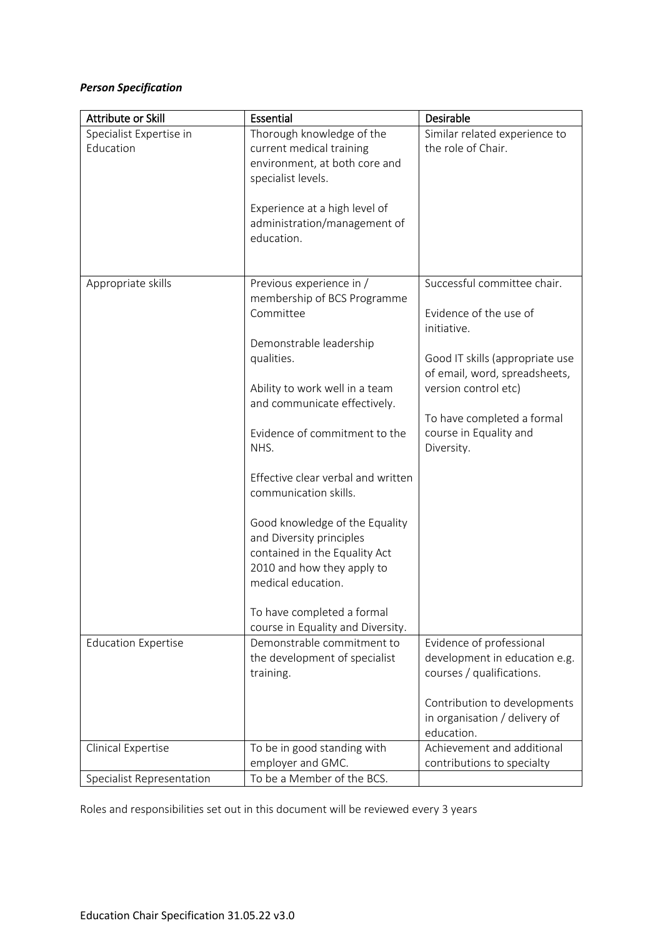# *Person Specification*

| Attribute or Skill                   | Essential                                                                                                                                                                                                                                                                                                                                                                                                                                                                                                     | Desirable                                                                                                                                                                                                                              |
|--------------------------------------|---------------------------------------------------------------------------------------------------------------------------------------------------------------------------------------------------------------------------------------------------------------------------------------------------------------------------------------------------------------------------------------------------------------------------------------------------------------------------------------------------------------|----------------------------------------------------------------------------------------------------------------------------------------------------------------------------------------------------------------------------------------|
| Specialist Expertise in<br>Education | Thorough knowledge of the<br>current medical training<br>environment, at both core and<br>specialist levels.<br>Experience at a high level of<br>administration/management of<br>education.                                                                                                                                                                                                                                                                                                                   | Similar related experience to<br>the role of Chair.                                                                                                                                                                                    |
| Appropriate skills                   | Previous experience in /<br>membership of BCS Programme<br>Committee<br>Demonstrable leadership<br>qualities.<br>Ability to work well in a team<br>and communicate effectively.<br>Evidence of commitment to the<br>NHS.<br>Effective clear verbal and written<br>communication skills.<br>Good knowledge of the Equality<br>and Diversity principles<br>contained in the Equality Act<br>2010 and how they apply to<br>medical education.<br>To have completed a formal<br>course in Equality and Diversity. | Successful committee chair.<br>Evidence of the use of<br>initiative.<br>Good IT skills (appropriate use<br>of email, word, spreadsheets,<br>version control etc)<br>To have completed a formal<br>course in Equality and<br>Diversity. |
| <b>Education Expertise</b>           | Demonstrable commitment to<br>the development of specialist<br>training.                                                                                                                                                                                                                                                                                                                                                                                                                                      | Evidence of professional<br>development in education e.g.<br>courses / qualifications.<br>Contribution to developments<br>in organisation / delivery of<br>education.                                                                  |
| Clinical Expertise                   | To be in good standing with<br>employer and GMC.                                                                                                                                                                                                                                                                                                                                                                                                                                                              | Achievement and additional<br>contributions to specialty                                                                                                                                                                               |
| Specialist Representation            | To be a Member of the BCS.                                                                                                                                                                                                                                                                                                                                                                                                                                                                                    |                                                                                                                                                                                                                                        |

Roles and responsibilities set out in this document will be reviewed every 3 years